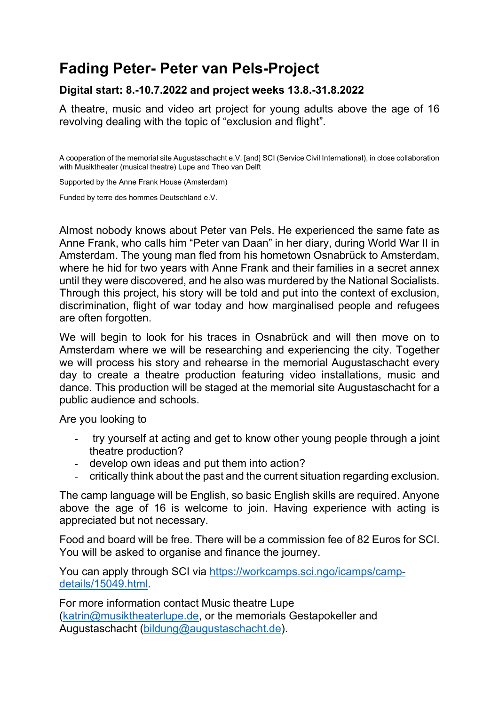## **Fading Peter- Peter van Pels-Project**

#### **Digital start: 8.-10.7.2022 and project weeks 13.8.-31.8.2022**

A theatre, music and video art project for young adults above the age of 16 revolving dealing with the topic of "exclusion and flight".

A cooperation of the memorial site Augustaschacht e.V. [and] SCI (Service Civil International), in close collaboration with Musiktheater (musical theatre) Lupe and Theo van Delft

Supported by the Anne Frank House (Amsterdam)

Funded by terre des hommes Deutschland e.V.

Almost nobody knows about Peter van Pels. He experienced the same fate as Anne Frank, who calls him "Peter van Daan" in her diary, during World War II in Amsterdam. The young man fled from his hometown Osnabrück to Amsterdam, where he hid for two years with Anne Frank and their families in a secret annex until they were discovered, and he also was murdered by the National Socialists. Through this project, his story will be told and put into the context of exclusion, discrimination, flight of war today and how marginalised people and refugees are often forgotten.

We will begin to look for his traces in Osnabrück and will then move on to Amsterdam where we will be researching and experiencing the city. Together we will process his story and rehearse in the memorial Augustaschacht every day to create a theatre production featuring video installations, music and dance. This production will be staged at the memorial site Augustaschacht for a public audience and schools.

Are you looking to

- try yourself at acting and get to know other young people through a joint theatre production?
- develop own ideas and put them into action?
- critically think about the past and the current situation regarding exclusion.

The camp language will be English, so basic English skills are required. Anyone above the age of 16 is welcome to join. Having experience with acting is appreciated but not necessary.

Food and board will be free. There will be a commission fee of 82 Euros for SCI. You will be asked to organise and finance the journey.

You can apply through SCI via [https://workcamps.sci.ngo/icamps/camp](https://workcamps.sci.ngo/icamps/camp-details/15049.html)[details/15049.html.](https://workcamps.sci.ngo/icamps/camp-details/15049.html)

For more information contact Music theatre Lupe [\(katrin@musiktheaterlupe.de,](mailto:katrin@musiktheaterlupe.de) or the memorials Gestapokeller and Augustaschacht [\(bildung@augustaschacht.de\)](mailto:bildung@augustaschacht.de).